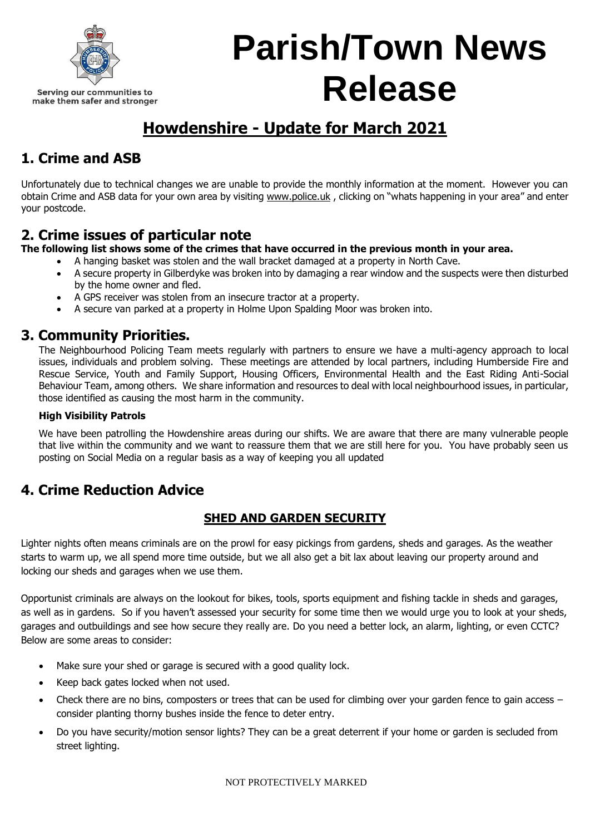

## **Parish/Town News Release**

## **Howdenshire - Update for March 2021**

## **1. Crime and ASB**

Unfortunately due to technical changes we are unable to provide the monthly information at the moment. However you can obtain Crime and ASB data for your own area by visiting [www.police.uk](http://www.police.uk/), clicking on "whats happening in your area" and enter your postcode.

### **2. Crime issues of particular note**

**The following list shows some of the crimes that have occurred in the previous month in your area.**

- A hanging basket was stolen and the wall bracket damaged at a property in North Cave.
- A secure property in Gilberdyke was broken into by damaging a rear window and the suspects were then disturbed by the home owner and fled.
- A GPS receiver was stolen from an insecure tractor at a property.
- A secure van parked at a property in Holme Upon Spalding Moor was broken into.

#### **3. Community Priorities.**

The Neighbourhood Policing Team meets regularly with partners to ensure we have a multi-agency approach to local issues, individuals and problem solving. These meetings are attended by local partners, including Humberside Fire and Rescue Service, Youth and Family Support, Housing Officers, Environmental Health and the East Riding Anti-Social Behaviour Team, among others. We share information and resources to deal with local neighbourhood issues, in particular, those identified as causing the most harm in the community.

#### **High Visibility Patrols**

We have been patrolling the Howdenshire areas during our shifts. We are aware that there are many vulnerable people that live within the community and we want to reassure them that we are still here for you. You have probably seen us posting on Social Media on a regular basis as a way of keeping you all updated

### **4. Crime Reduction Advice**

#### **SHED AND GARDEN SECURITY**

Lighter nights often means criminals are on the prowl for easy pickings from gardens, sheds and garages. As the weather starts to warm up, we all spend more time outside, but we all also get a bit lax about leaving our property around and locking our sheds and garages when we use them.

Opportunist criminals are always on the lookout for bikes, tools, sports equipment and fishing tackle in sheds and garages, as well as in gardens. So if you haven't assessed your security for some time then we would urge you to look at your sheds, garages and outbuildings and see how secure they really are. Do you need a better lock, an alarm, lighting, or even CCTC? Below are some areas to consider:

- Make sure your shed or garage is secured with a good quality lock.
- Keep back gates locked when not used.
- Check there are no bins, composters or trees that can be used for climbing over your garden fence to gain access consider planting thorny bushes inside the fence to deter entry.
- Do you have security/motion sensor lights? They can be a great deterrent if your home or garden is secluded from street lighting.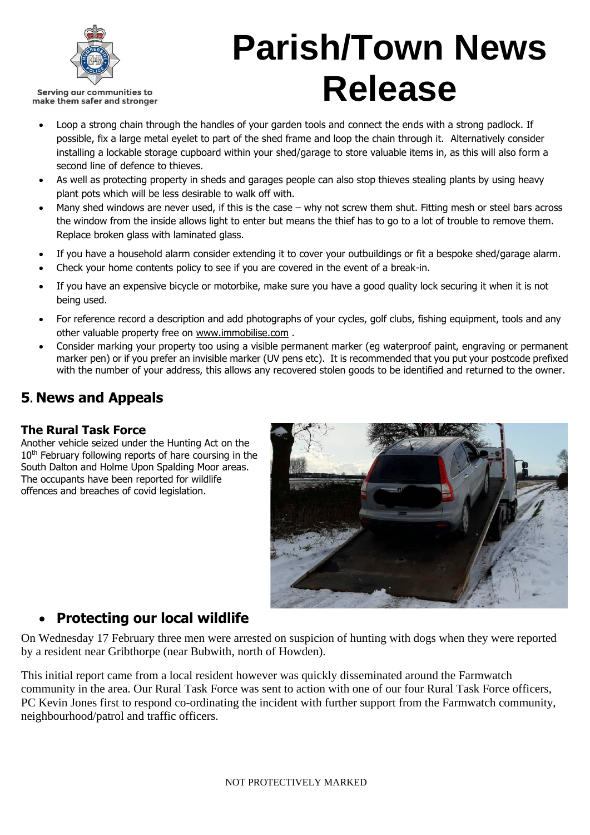

# **Parish/Town News Release**

- Loop a strong chain through the handles of your garden tools and connect the ends with a strong padlock. If possible, fix a large metal eyelet to part of the shed frame and loop the chain through it. Alternatively consider installing a lockable storage cupboard within your shed/garage to store valuable items in, as this will also form a second line of defence to thieves.
- As well as protecting property in sheds and garages people can also stop thieves stealing plants by using heavy plant pots which will be less desirable to walk off with.
- Many shed windows are never used, if this is the case why not screw them shut. Fitting mesh or steel bars across the window from the inside allows light to enter but means the thief has to go to a lot of trouble to remove them. Replace broken glass with laminated glass.
- If you have a household alarm consider extending it to cover your outbuildings or fit a bespoke shed/garage alarm.
- Check your home contents policy to see if you are covered in the event of a break-in.
- If you have an expensive bicycle or motorbike, make sure you have a good quality lock securing it when it is not being used.
- For reference record a description and add photographs of your cycles, golf clubs, fishing equipment, tools and any other valuable property free on [www.immobilise.com](http://www.immobilise.com/) .
- Consider marking your property too using a visible permanent marker (eg waterproof paint, engraving or permanent marker pen) or if you prefer an invisible marker (UV pens etc). It is recommended that you put your postcode prefixed with the number of your address, this allows any recovered stolen goods to be identified and returned to the owner.

## **5. News and Appeals**

#### **The Rural Task Force**

Another vehicle seized under the Hunting Act on the 10<sup>th</sup> February following reports of hare coursing in the South Dalton and Holme Upon Spalding Moor areas. The occupants have been reported for wildlife offences and breaches of covid legislation.



### • **Protecting our local wildlife**

On Wednesday 17 February three men were arrested on suspicion of hunting with dogs when they were reported by a resident near Gribthorpe (near Bubwith, north of Howden).

This initial report came from a local resident however was quickly disseminated around the Farmwatch community in the area. Our Rural Task Force was sent to action with one of our four Rural Task Force officers, PC Kevin Jones first to respond co-ordinating the incident with further support from the Farmwatch community, neighbourhood/patrol and traffic officers.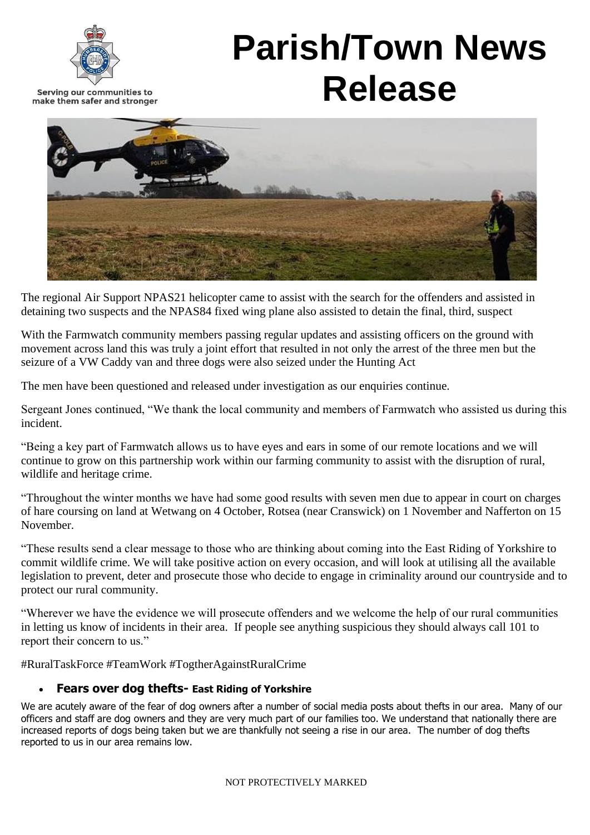



The regional Air Support NPAS21 helicopter came to assist with the search for the offenders and assisted in detaining two suspects and the NPAS84 fixed wing plane also assisted to detain the final, third, suspect

With the Farmwatch community members passing regular updates and assisting officers on the ground with movement across land this was truly a joint effort that resulted in not only the arrest of the three men but the seizure of a VW Caddy van and three dogs were also seized under the Hunting Act

The men have been questioned and released under investigation as our enquiries continue.

Sergeant Jones continued, "We thank the local community and members of Farmwatch who assisted us during this incident.

"Being a key part of Farmwatch allows us to have eyes and ears in some of our remote locations and we will continue to grow on this partnership work within our farming community to assist with the disruption of rural, wildlife and heritage crime.

"Throughout the winter months we have had some good results with seven men due to appear in court on charges of hare coursing on land at Wetwang on 4 October, Rotsea (near Cranswick) on 1 November and Nafferton on 15 November.

"These results send a clear message to those who are thinking about coming into the East Riding of Yorkshire to commit wildlife crime. We will take positive action on every occasion, and will look at utilising all the available legislation to prevent, deter and prosecute those who decide to engage in criminality around our countryside and to protect our rural community.

"Wherever we have the evidence we will prosecute offenders and we welcome the help of our rural communities in letting us know of incidents in their area. If people see anything suspicious they should always call 101 to report their concern to us."

#RuralTaskForce #TeamWork #TogtherAgainstRuralCrime

#### • **Fears over dog thefts- East Riding of Yorkshire**

We are acutely aware of the fear of dog owners after a number of social media posts about thefts in our area. Many of our officers and staff are dog owners and they are very much part of our families too. We understand that nationally there are increased reports of dogs being taken but we are thankfully not seeing a rise in our area. The number of dog thefts reported to us in our area remains low.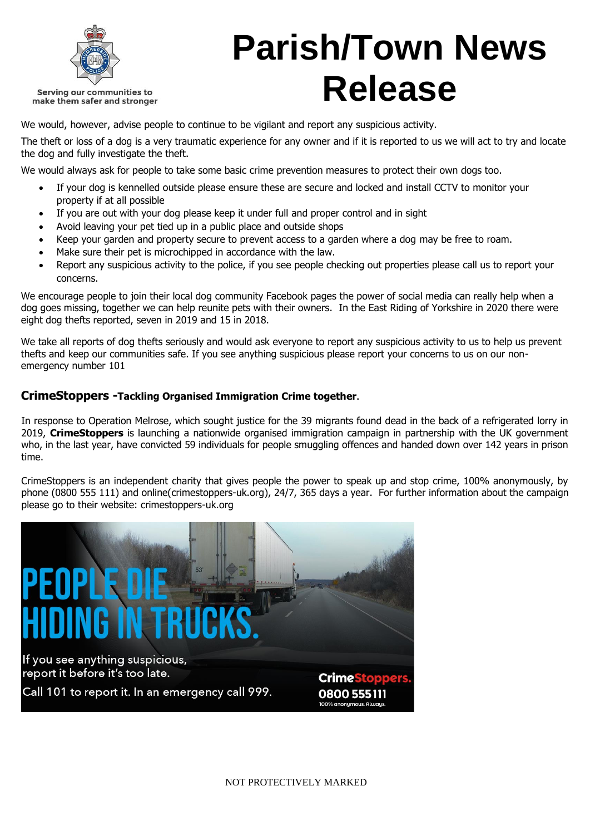

## **Parish/Town News Release**

We would, however, advise people to continue to be vigilant and report any suspicious activity.

The theft or loss of a dog is a very traumatic experience for any owner and if it is reported to us we will act to try and locate the dog and fully investigate the theft.

We would always ask for people to take some basic crime prevention measures to protect their own dogs too.

- If your dog is kennelled outside please ensure these are secure and locked and install CCTV to monitor your property if at all possible
- If you are out with your dog please keep it under full and proper control and in sight
- Avoid leaving your pet tied up in a public place and outside shops
- Keep your garden and property secure to prevent access to a garden where a dog may be free to roam.
- Make sure their pet is microchipped in accordance with the law.
- Report any suspicious activity to the police, if you see people checking out properties please call us to report your concerns.

We encourage people to join their local dog community Facebook pages the power of social media can really help when a dog goes missing, together we can help reunite pets with their owners. In the East Riding of Yorkshire in 2020 there were eight dog thefts reported, seven in 2019 and 15 in 2018.

We take all reports of dog thefts seriously and would ask everyone to report any suspicious activity to us to help us prevent thefts and keep our communities safe. If you see anything suspicious please report your concerns to us on our nonemergency number 101

#### **CrimeStoppers -Tackling Organised Immigration Crime together.**

In response to Operation Melrose, which sought justice for the 39 migrants found dead in the back of a refrigerated lorry in 2019, **CrimeStoppers** is launching a nationwide organised immigration campaign in partnership with the UK government who, in the last year, have convicted 59 individuals for people smuggling offences and handed down over 142 years in prison time.

CrimeStoppers is an independent charity that gives people the power to speak up and stop crime, 100% anonymously, by phone (0800 555 111) and online(crimestoppers-uk.org), 24/7, 365 days a year. For further information about the campaign please go to their website: crimestoppers-uk.org